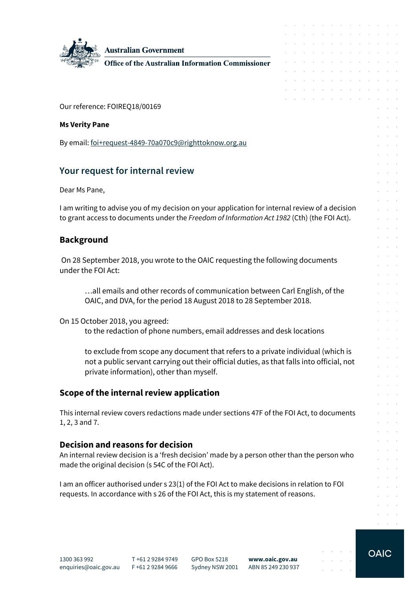

**Australian Government** 

**Office of the Australian Information Commissioner** 

Our reference: FOIREQ18/00169

#### **Ms Verity Pane**

By email[: foi+request-4849-70a070c9@righttoknow.org.au](mailto:xxxxxxxxxxxxxxxxxxxxxxxxx@xxxxxxxxxxx.xxx.xx)

# **Your request for internal review**

Dear Ms Pane,

I am writing to advise you of my decision on your application for internal review of a decision to grant access to documents under the *Freedom of Information Act 1982* (Cth) (the FOI Act).

## **Background**

On 28 September 2018, you wrote to the OAIC requesting the following documents under the FOI Act:

…all emails and other records of communication between Carl English, of the OAIC, and DVA, for the period 18 August 2018 to 28 September 2018.

On 15 October 2018, you agreed:

to the redaction of phone numbers, email addresses and desk locations

to exclude from scope any document that refers to a private individual (which is not a public servant carrying out their official duties, as that falls into official, not private information), other than myself.

## **Scope of the internal review application**

This internal review covers redactions made under sections 47F of the FOI Act, to documents 1, 2, 3 and 7.

### **Decision and reasons for decision**

An internal review decision is a 'fresh decision' made by a person other than the person who made the original decision (s 54C of the FOI Act).

I am an officer authorised under s 23(1) of the FOI Act to make decisions in relation to FOI requests. In accordance with s 26 of the FOI Act, this is my statement of reasons.

**OAIC** 

a construction of the construction of the construction of the construction of the construction of the construction of the construction of the construction of the construction of the construction of the construction of the and a straightful contract and a straight  $\mathcal{A}$  . The set of the set of the set of  $\mathcal{A}$ 

the contract of the contract of the

design and a strain and a strain and a strain the contract of the contract of  $\mathcal{L}^{\mathcal{A}}$  . The set of the set of the set of the set of the set of the  $\mathcal{L}^{\mathcal{A}}$ and a series of the companies of the design and a state of the state of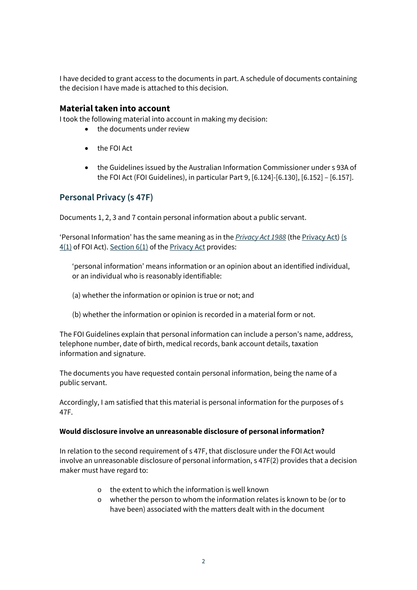I have decided to grant access to the documents in part. A schedule of documents containing the decision I have made is attached to this decision.

#### **Material taken into account**

I took the following material into account in making my decision:

- the documents under review
- the FOI Act
- the Guidelines issued by the Australian Information Commissioner under s 93A of the FOI Act (FOI Guidelines), in particular Part 9, [6.124]-[6.130], [6.152] – [6.157].

## **Personal Privacy (s 47F)**

Documents 1, 2, 3 and 7 contain personal information about a public servant.

'Personal Information' has the same meaning as in the *[Privacy Act 1988](http://www.austlii.edu.au/cgi-bin/viewdoc/au/legis/cth/consol_act/pa1988108/)* (th[e Privacy Act\)](http://www.austlii.edu.au/cgi-bin/viewdoc/au/legis/cth/consol_act/pa1988108/) [\(s](http://www.austlii.edu.au/cgi-bin/viewdoc/au/legis/cth/consol_act/pa1988108/s4.html)   $4(1)$  of FOI Act). Section  $6(1)$  of th[e Privacy Act](http://www.austlii.edu.au/cgi-bin/viewdoc/au/legis/cth/consol_act/pa1988108/) provides:

'personal information' means information or an opinion about an identified individual, or an individual who is reasonably identifiable:

- (a) whether the information or opinion is true or not; and
- (b) whether the information or opinion is recorded in a material form or not.

The FOI Guidelines explain that personal information can include a person's name, address, telephone number, date of birth, medical records, bank account details, taxation information and signature.

The documents you have requested contain personal information, being the name of a public servant.

Accordingly, I am satisfied that this material is personal information for the purposes of s 47F.

#### **Would disclosure involve an unreasonable disclosure of personal information?**

In relation to the second requirement of s 47F, that disclosure under the FOI Act would involve an unreasonable disclosure of personal information, s 47F(2) provides that a decision maker must have regard to:

- $\circ$  the extent to which the information is well known
- o whether the person to whom the information relates is known to be (or to have been) associated with the matters dealt with in the document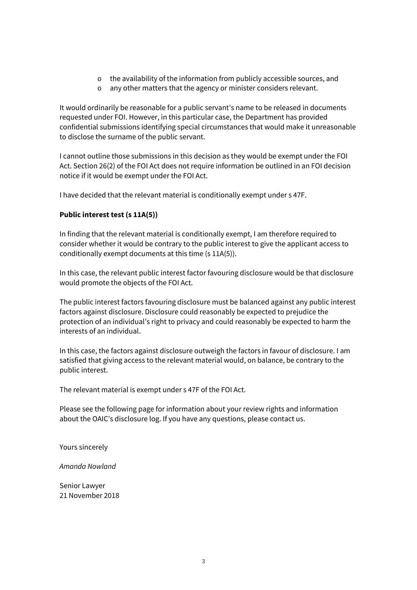- o the availability of the information from publicly accessible sources, and
- o any other matters that the agency or minister considers relevant.

It would ordinarily be reasonable for a public servant's name to be released in documents requested under FOI. However, in this particular case, the Department has provided confidential submissions identifying special circumstances that would make it unreasonable to disclose the surname of the public servant.

I cannot outline those submissions in this decision as they would be exempt under the FOI Act. Section 26(2) of the FOI Act does not require information be outlined in an FOI decision notice if it would be exempt under the FOI Act.

I have decided that the relevant material is conditionally exempt under s 47F.

#### **Public interest test (s 11A(5))**

In finding that the relevant material is conditionally exempt, I am therefore required to consider whether it would be contrary to the public interest to give the applicant access to conditionally exempt documents at this time (s 11A(5)).

In this case, the relevant public interest factor favouring disclosure would be that disclosure would promote the objects of the FOI Act.

The public interest factors favouring disclosure must be balanced against any public interest factors against disclosure. Disclosure could reasonably be expected to prejudice the protection of an individual's right to privacy and could reasonably be expected to harm the interests of an individual.

In this case, the factors against disclosure outweigh the factors in favour of disclosure. I am satisfied that giving access to the relevant material would, on balance, be contrary to the public interest.

The relevant material is exempt under s 47F of the FOI Act.

Please see the following page for information about your review rights and information about the OAIC's disclosure log. If you have any questions, please contact us.

Yours sincerely

*Amanda Nowland*

Senior Lawyer 21 November 2018